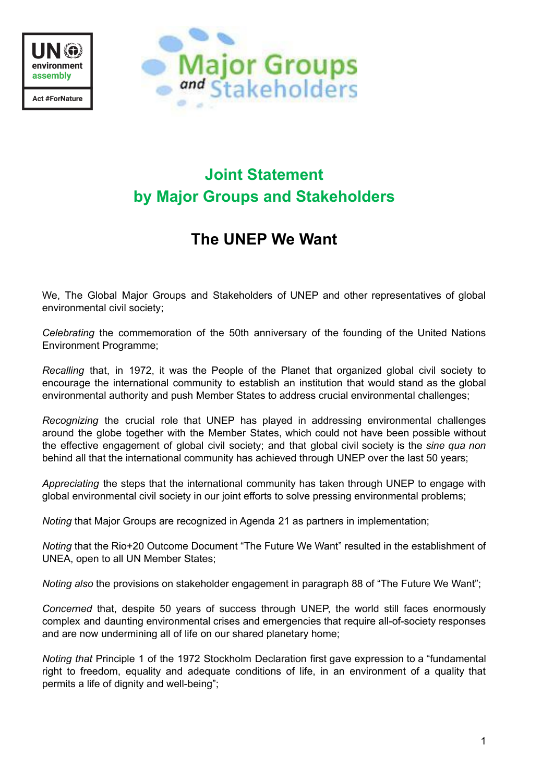



# **Joint Statement by Major Groups and Stakeholders**

# **The UNEP We Want**

We, The Global Major Groups and Stakeholders of UNEP and other representatives of global environmental civil society;

*Celebrating* the commemoration of the 50th anniversary of the founding of the United Nations Environment Programme;

*Recalling* that, in 1972, it was the People of the Planet that organized global civil society to encourage the international community to establish an institution that would stand as the global environmental authority and push Member States to address crucial environmental challenges;

*Recognizing* the crucial role that UNEP has played in addressing environmental challenges around the globe together with the Member States, which could not have been possible without the effective engagement of global civil society; and that global civil society is the *sine qua non* behind all that the international community has achieved through UNEP over the last 50 years;

*Appreciating* the steps that the international community has taken through UNEP to engage with global environmental civil society in our joint efforts to solve pressing environmental problems;

*Noting* that Major Groups are recognized in Agenda 21 as partners in implementation;

*Noting* that the Rio+20 Outcome Document "The Future We Want" resulted in the establishment of UNEA, open to all UN Member States;

*Noting also* the provisions on stakeholder engagement in paragraph 88 of "The Future We Want";

*Concerned* that, despite 50 years of success through UNEP, the world still faces enormously complex and daunting environmental crises and emergencies that require all-of-society responses and are now undermining all of life on our shared planetary home;

*Noting that* Principle 1 of the 1972 Stockholm Declaration first gave expression to a "fundamental right to freedom, equality and adequate conditions of life, in an environment of a quality that permits a life of dignity and well-being";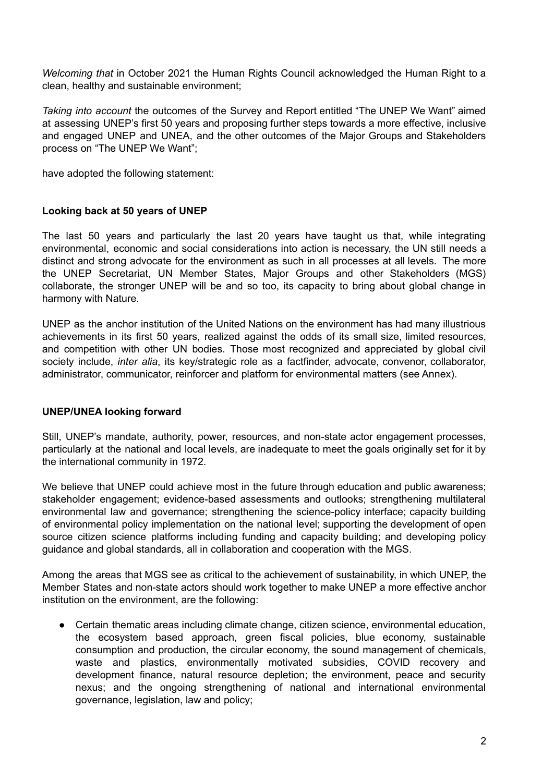*Welcoming that* in October 2021 the Human Rights Council acknowledged the Human Right to a clean, healthy and sustainable environment;

*Taking into account* the outcomes of the Survey and Report entitled "The UNEP We Want" aimed at assessing UNEP's first 50 years and proposing further steps towards a more effective, inclusive and engaged UNEP and UNEA, and the other outcomes of the Major Groups and Stakeholders process on "The UNEP We Want";

have adopted the following statement:

## **Looking back at 50 years of UNEP**

The last 50 years and particularly the last 20 years have taught us that, while integrating environmental, economic and social considerations into action is necessary, the UN still needs a distinct and strong advocate for the environment as such in all processes at all levels. The more the UNEP Secretariat, UN Member States, Major Groups and other Stakeholders (MGS) collaborate, the stronger UNEP will be and so too, its capacity to bring about global change in harmony with Nature.

UNEP as the anchor institution of the United Nations on the environment has had many illustrious achievements in its first 50 years, realized against the odds of its small size, limited resources, and competition with other UN bodies. Those most recognized and appreciated by global civil society include, *inter alia*, its key/strategic role as a factfinder, advocate, convenor, collaborator, administrator, communicator, reinforcer and platform for environmental matters (see Annex).

#### **UNEP/UNEA looking forward**

Still, UNEP's mandate, authority, power, resources, and non-state actor engagement processes, particularly at the national and local levels, are inadequate to meet the goals originally set for it by the international community in 1972.

We believe that UNEP could achieve most in the future through education and public awareness; stakeholder engagement; evidence-based assessments and outlooks; strengthening multilateral environmental law and governance; strengthening the science-policy interface; capacity building of environmental policy implementation on the national level; supporting the development of open source citizen science platforms including funding and capacity building; and developing policy guidance and global standards, all in collaboration and cooperation with the MGS.

Among the areas that MGS see as critical to the achievement of sustainability, in which UNEP, the Member States and non-state actors should work together to make UNEP a more effective anchor institution on the environment, are the following:

● Certain thematic areas including climate change, citizen science, environmental education, the ecosystem based approach, green fiscal policies, blue economy, sustainable consumption and production, the circular economy, the sound management of chemicals, waste and plastics, environmentally motivated subsidies, COVID recovery and development finance, natural resource depletion; the environment, peace and security nexus; and the ongoing strengthening of national and international environmental governance, legislation, law and policy;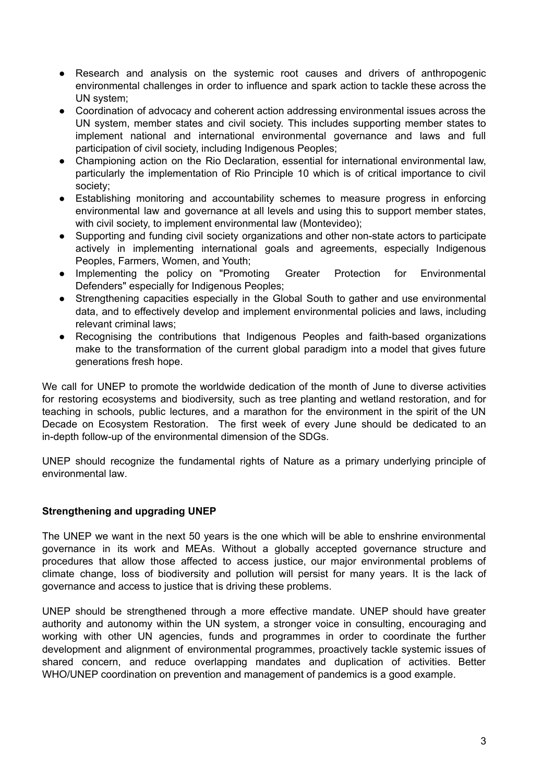- Research and analysis on the systemic root causes and drivers of anthropogenic environmental challenges in order to influence and spark action to tackle these across the UN system;
- Coordination of advocacy and coherent action addressing environmental issues across the UN system, member states and civil society. This includes supporting member states to implement national and international environmental governance and laws and full participation of civil society, including Indigenous Peoples;
- Championing action on the Rio Declaration, essential for international environmental law, particularly the implementation of Rio Principle 10 which is of critical importance to civil society;
- Establishing monitoring and accountability schemes to measure progress in enforcing environmental law and governance at all levels and using this to support member states, with civil society, to implement environmental law (Montevideo);
- Supporting and funding civil society organizations and other non-state actors to participate actively in implementing international goals and agreements, especially Indigenous Peoples, Farmers, Women, and Youth;
- Implementing the policy on "Promoting Greater Protection for Environmental Defenders" especially for Indigenous Peoples;
- Strengthening capacities especially in the Global South to gather and use environmental data, and to effectively develop and implement environmental policies and laws, including relevant criminal laws;
- Recognising the contributions that Indigenous Peoples and faith-based organizations make to the transformation of the current global paradigm into a model that gives future generations fresh hope.

We call for UNEP to promote the worldwide dedication of the month of June to diverse activities for restoring ecosystems and biodiversity, such as tree planting and wetland restoration, and for teaching in schools, public lectures, and a marathon for the environment in the spirit of the UN Decade on Ecosystem Restoration. The first week of every June should be dedicated to an in-depth follow-up of the environmental dimension of the SDGs.

UNEP should recognize the fundamental rights of Nature as a primary underlying principle of environmental law.

# **Strengthening and upgrading UNEP**

The UNEP we want in the next 50 years is the one which will be able to enshrine environmental governance in its work and MEAs. Without a globally accepted governance structure and procedures that allow those affected to access justice, our major environmental problems of climate change, loss of biodiversity and pollution will persist for many years. It is the lack of governance and access to justice that is driving these problems.

UNEP should be strengthened through a more effective mandate. UNEP should have greater authority and autonomy within the UN system, a stronger voice in consulting, encouraging and working with other UN agencies, funds and programmes in order to coordinate the further development and alignment of environmental programmes, proactively tackle systemic issues of shared concern, and reduce overlapping mandates and duplication of activities. Better WHO/UNEP coordination on prevention and management of pandemics is a good example.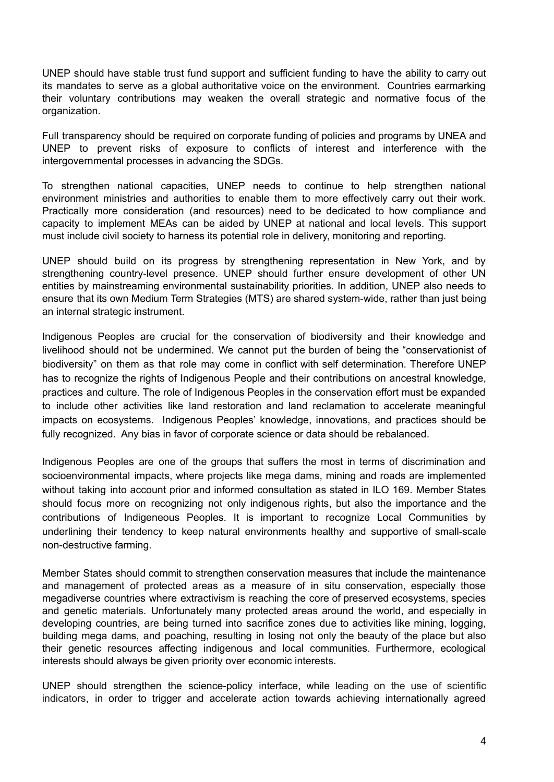UNEP should have stable trust fund support and sufficient funding to have the ability to carry out its mandates to serve as a global authoritative voice on the environment. Countries earmarking their voluntary contributions may weaken the overall strategic and normative focus of the organization.

Full transparency should be required on corporate funding of policies and programs by UNEA and UNEP to prevent risks of exposure to conflicts of interest and interference with the intergovernmental processes in advancing the SDGs.

To strengthen national capacities, UNEP needs to continue to help strengthen national environment ministries and authorities to enable them to more effectively carry out their work. Practically more consideration (and resources) need to be dedicated to how compliance and capacity to implement MEAs can be aided by UNEP at national and local levels. This support must include civil society to harness its potential role in delivery, monitoring and reporting.

UNEP should build on its progress by strengthening representation in New York, and by strengthening country-level presence. UNEP should further ensure development of other UN entities by mainstreaming environmental sustainability priorities. In addition, UNEP also needs to ensure that its own Medium Term Strategies (MTS) are shared system-wide, rather than just being an internal strategic instrument.

Indigenous Peoples are crucial for the conservation of biodiversity and their knowledge and livelihood should not be undermined. We cannot put the burden of being the "conservationist of biodiversity" on them as that role may come in conflict with self determination. Therefore UNEP has to recognize the rights of Indigenous People and their contributions on ancestral knowledge, practices and culture. The role of Indigenous Peoples in the conservation effort must be expanded to include other activities like land restoration and land reclamation to accelerate meaningful impacts on ecosystems. Indigenous Peoples' knowledge, innovations, and practices should be fully recognized. Any bias in favor of corporate science or data should be rebalanced.

Indigenous Peoples are one of the groups that suffers the most in terms of discrimination and socioenvironmental impacts, where projects like mega dams, mining and roads are implemented without taking into account prior and informed consultation as stated in ILO 169. Member States should focus more on recognizing not only indigenous rights, but also the importance and the contributions of Indigeneous Peoples. It is important to recognize Local Communities by underlining their tendency to keep natural environments healthy and supportive of small-scale non-destructive farming.

Member States should commit to strengthen conservation measures that include the maintenance and management of protected areas as a measure of in situ conservation, especially those megadiverse countries where extractivism is reaching the core of preserved ecosystems, species and genetic materials. Unfortunately many protected areas around the world, and especially in developing countries, are being turned into sacrifice zones due to activities like mining, logging, building mega dams, and poaching, resulting in losing not only the beauty of the place but also their genetic resources affecting indigenous and local communities. Furthermore, ecological interests should always be given priority over economic interests.

UNEP should strengthen the science-policy interface, while leading on the use of scientific indicators, in order to trigger and accelerate action towards achieving internationally agreed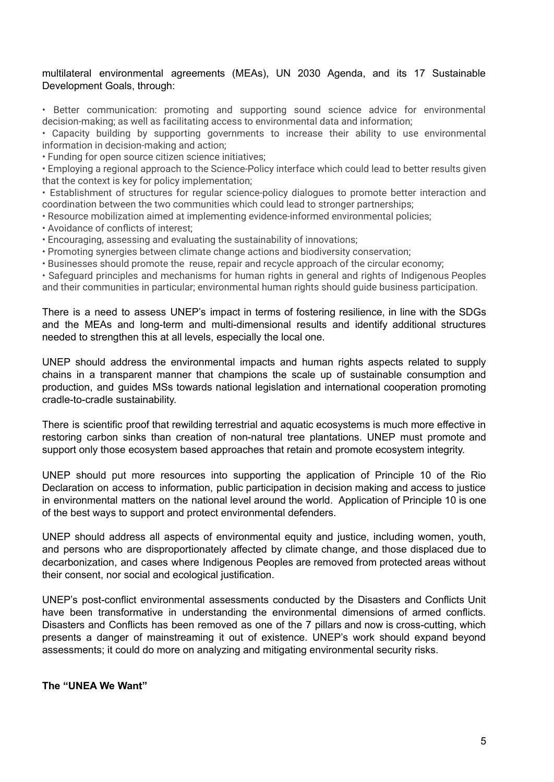### multilateral environmental agreements (MEAs), UN 2030 Agenda, and its 17 Sustainable Development Goals, through:

• Better communication: promoting and supporting sound science advice for environmental decision-making; as well as facilitating access to environmental data and information;

• Capacity building by supporting governments to increase their ability to use environmental information in decision-making and action;

• Funding for open source citizen science initiatives;

• Employing a regional approach to the Science-Policy interface which could lead to better results given that the context is key for policy implementation;

• Establishment of structures for regular science-policy dialogues to promote better interaction and coordination between the two communities which could lead to stronger partnerships;

• Resource mobilization aimed at implementing evidence-informed environmental policies;

- Avoidance of conflicts of interest;
- Encouraging, assessing and evaluating the sustainability of innovations;
- Promoting synergies between climate change actions and biodiversity conservation;
- Businesses should promote the reuse, repair and recycle approach of the circular economy;

• Safeguard principles and mechanisms for human rights in general and rights of Indigenous Peoples and their communities in particular; environmental human rights should guide business participation.

There is a need to assess UNEP's impact in terms of fostering resilience, in line with the SDGs and the MEAs and long-term and multi-dimensional results and identify additional structures needed to strengthen this at all levels, especially the local one.

UNEP should address the environmental impacts and human rights aspects related to supply chains in a transparent manner that champions the scale up of sustainable consumption and production, and guides MSs towards national legislation and international cooperation promoting cradle-to-cradle sustainability.

There is scientific proof that rewilding terrestrial and aquatic ecosystems is much more effective in restoring carbon sinks than creation of non-natural tree plantations. UNEP must promote and support only those ecosystem based approaches that retain and promote ecosystem integrity.

UNEP should put more resources into supporting the application of Principle 10 of the Rio Declaration on access to information, public participation in decision making and access to justice in environmental matters on the national level around the world. Application of Principle 10 is one of the best ways to support and protect environmental defenders.

UNEP should address all aspects of environmental equity and justice, including women, youth, and persons who are disproportionately affected by climate change, and those displaced due to decarbonization, and cases where Indigenous Peoples are removed from protected areas without their consent, nor social and ecological justification.

UNEP's post-conflict environmental assessments conducted by the Disasters and Conflicts Unit have been transformative in understanding the environmental dimensions of armed conflicts. Disasters and Conflicts has been removed as one of the 7 pillars and now is cross-cutting, which presents a danger of mainstreaming it out of existence. UNEP's work should expand beyond assessments; it could do more on analyzing and mitigating environmental security risks.

#### **The "UNEA We Want"**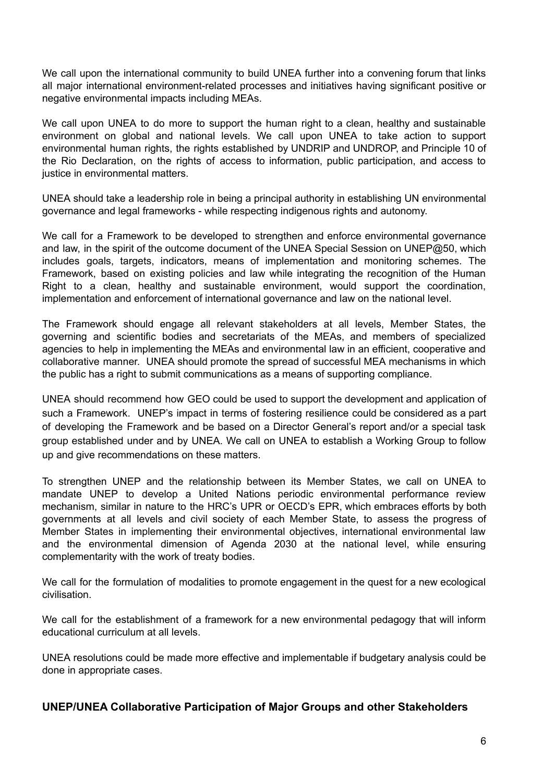We call upon the international community to build UNEA further into a convening forum that links all major international environment-related processes and initiatives having significant positive or negative environmental impacts including MEAs.

We call upon UNEA to do more to support the human right to a clean, healthy and sustainable environment on global and national levels. We call upon UNEA to take action to support environmental human rights, the rights established by UNDRIP and UNDROP, and Principle 10 of the Rio Declaration, on the rights of access to information, public participation, and access to justice in environmental matters.

UNEA should take a leadership role in being a principal authority in establishing UN environmental governance and legal frameworks - while respecting indigenous rights and autonomy.

We call for a Framework to be developed to strengthen and enforce environmental governance and law, in the spirit of the outcome document of the UNEA Special Session on UNEP@50, which includes goals, targets, indicators, means of implementation and monitoring schemes. The Framework, based on existing policies and law while integrating the recognition of the Human Right to a clean, healthy and sustainable environment, would support the coordination, implementation and enforcement of international governance and law on the national level.

The Framework should engage all relevant stakeholders at all levels, Member States, the governing and scientific bodies and secretariats of the MEAs, and members of specialized agencies to help in implementing the MEAs and environmental law in an efficient, cooperative and collaborative manner. UNEA should promote the spread of successful MEA mechanisms in which the public has a right to submit communications as a means of supporting compliance.

UNEA should recommend how GEO could be used to support the development and application of such a Framework. UNEP's impact in terms of fostering resilience could be considered as a part of developing the Framework and be based on a Director General's report and/or a special task group established under and by UNEA. We call on UNEA to establish a Working Group to follow up and give recommendations on these matters.

To strengthen UNEP and the relationship between its Member States, we call on UNEA to mandate UNEP to develop a United Nations periodic environmental performance review mechanism, similar in nature to the HRC's UPR or OECD's EPR, which embraces efforts by both governments at all levels and civil society of each Member State, to assess the progress of Member States in implementing their environmental objectives, international environmental law and the environmental dimension of Agenda 2030 at the national level, while ensuring complementarity with the work of treaty bodies.

We call for the formulation of modalities to promote engagement in the quest for a new ecological civilisation.

We call for the establishment of a framework for a new environmental pedagogy that will inform educational curriculum at all levels.

UNEA resolutions could be made more effective and implementable if budgetary analysis could be done in appropriate cases.

#### **UNEP/UNEA Collaborative Participation of Major Groups and other Stakeholders**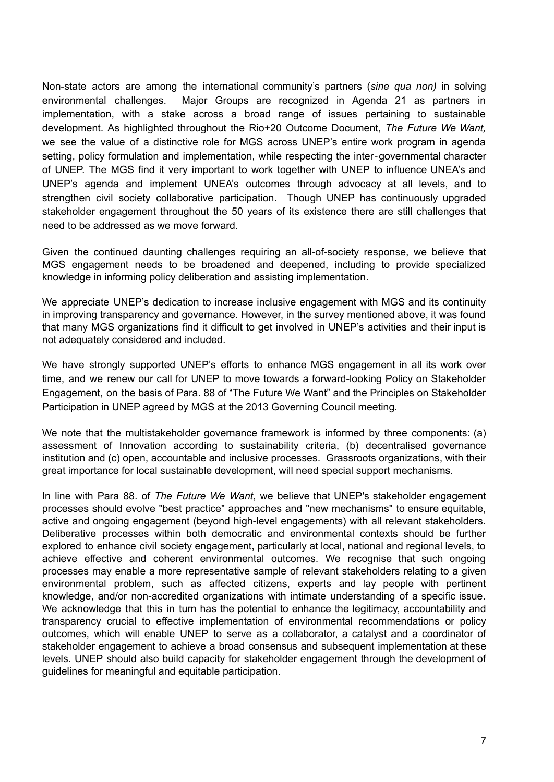Non-state actors are among the international community's partners (*sine qua non)* in solving environmental challenges. Major Groups are recognized in Agenda 21 as partners in implementation, with a stake across a broad range of issues pertaining to sustainable development. As highlighted throughout the Rio+20 Outcome Document, *The Future We Want,* we see the value of a distinctive role for MGS across UNEP's entire work program in agenda setting, policy formulation and implementation, while respecting the inter‐governmental character of UNEP. The MGS find it very important to work together with UNEP to influence UNEA's and UNEP's agenda and implement UNEA's outcomes through advocacy at all levels, and to strengthen civil society collaborative participation. Though UNEP has continuously upgraded stakeholder engagement throughout the 50 years of its existence there are still challenges that need to be addressed as we move forward.

Given the continued daunting challenges requiring an all-of-society response, we believe that MGS engagement needs to be broadened and deepened, including to provide specialized knowledge in informing policy deliberation and assisting implementation.

We appreciate UNEP's dedication to increase inclusive engagement with MGS and its continuity in improving transparency and governance. However, in the survey mentioned above, it was found that many MGS organizations find it difficult to get involved in UNEP's activities and their input is not adequately considered and included.

We have strongly supported UNEP's efforts to enhance MGS engagement in all its work over time, and we renew our call for UNEP to move towards a forward-looking Policy on Stakeholder Engagement, on the basis of Para. 88 of "The Future We Want" and the Principles on Stakeholder Participation in UNEP agreed by MGS at the 2013 Governing Council meeting.

We note that the multistakeholder governance framework is informed by three components: (a) assessment of Innovation according to sustainability criteria, (b) decentralised governance institution and (c) open, accountable and inclusive processes. Grassroots organizations, with their great importance for local sustainable development, will need special support mechanisms.

In line with Para 88. of *The Future We Want*, we believe that UNEP's stakeholder engagement processes should evolve "best practice" approaches and "new mechanisms" to ensure equitable, active and ongoing engagement (beyond high-level engagements) with all relevant stakeholders. Deliberative processes within both democratic and environmental contexts should be further explored to enhance civil society engagement, particularly at local, national and regional levels, to achieve effective and coherent environmental outcomes. We recognise that such ongoing processes may enable a more representative sample of relevant stakeholders relating to a given environmental problem, such as affected citizens, experts and lay people with pertinent knowledge, and/or non-accredited organizations with intimate understanding of a specific issue. We acknowledge that this in turn has the potential to enhance the legitimacy, accountability and transparency crucial to effective implementation of environmental recommendations or policy outcomes, which will enable UNEP to serve as a collaborator, a catalyst and a coordinator of stakeholder engagement to achieve a broad consensus and subsequent implementation at these levels. UNEP should also build capacity for stakeholder engagement through the development of guidelines for meaningful and equitable participation.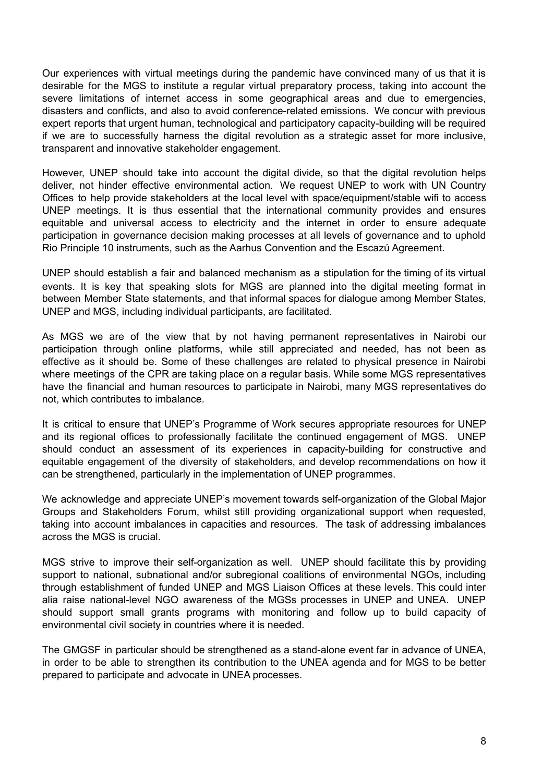Our experiences with virtual meetings during the pandemic have convinced many of us that it is desirable for the MGS to institute a regular virtual preparatory process, taking into account the severe limitations of internet access in some geographical areas and due to emergencies, disasters and conflicts, and also to avoid conference-related emissions. We concur with previous expert reports that urgent human, technological and participatory capacity-building will be required if we are to successfully harness the digital revolution as a strategic asset for more inclusive, transparent and innovative stakeholder engagement.

However, UNEP should take into account the digital divide, so that the digital revolution helps deliver, not hinder effective environmental action. We request UNEP to work with UN Country Offices to help provide stakeholders at the local level with space/equipment/stable wifi to access UNEP meetings. It is thus essential that the international community provides and ensures equitable and universal access to electricity and the internet in order to ensure adequate participation in governance decision making processes at all levels of governance and to uphold Rio Principle 10 instruments, such as the Aarhus Convention and the Escazú Agreement.

UNEP should establish a fair and balanced mechanism as a stipulation for the timing of its virtual events. It is key that speaking slots for MGS are planned into the digital meeting format in between Member State statements, and that informal spaces for dialogue among Member States, UNEP and MGS, including individual participants, are facilitated.

As MGS we are of the view that by not having permanent representatives in Nairobi our participation through online platforms, while still appreciated and needed, has not been as effective as it should be. Some of these challenges are related to physical presence in Nairobi where meetings of the CPR are taking place on a regular basis. While some MGS representatives have the financial and human resources to participate in Nairobi, many MGS representatives do not, which contributes to imbalance.

It is critical to ensure that UNEP's Programme of Work secures appropriate resources for UNEP and its regional offices to professionally facilitate the continued engagement of MGS. UNEP should conduct an assessment of its experiences in capacity-building for constructive and equitable engagement of the diversity of stakeholders, and develop recommendations on how it can be strengthened, particularly in the implementation of UNEP programmes.

We acknowledge and appreciate UNEP's movement towards self-organization of the Global Major Groups and Stakeholders Forum, whilst still providing organizational support when requested, taking into account imbalances in capacities and resources. The task of addressing imbalances across the MGS is crucial.

MGS strive to improve their self-organization as well. UNEP should facilitate this by providing support to national, subnational and/or subregional coalitions of environmental NGOs, including through establishment of funded UNEP and MGS Liaison Offices at these levels. This could inter alia raise national-level NGO awareness of the MGSs processes in UNEP and UNEA. UNEP should support small grants programs with monitoring and follow up to build capacity of environmental civil society in countries where it is needed.

The GMGSF in particular should be strengthened as a stand-alone event far in advance of UNEA, in order to be able to strengthen its contribution to the UNEA agenda and for MGS to be better prepared to participate and advocate in UNEA processes.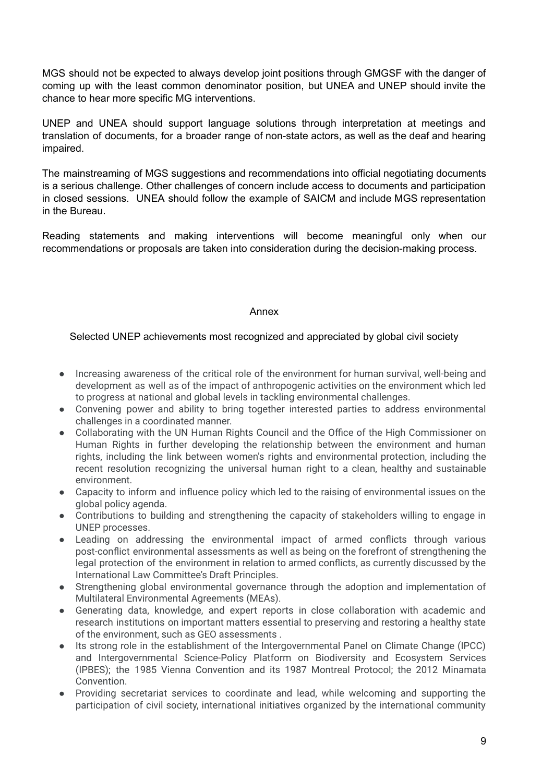MGS should not be expected to always develop joint positions through GMGSF with the danger of coming up with the least common denominator position, but UNEA and UNEP should invite the chance to hear more specific MG interventions.

UNEP and UNEA should support language solutions through interpretation at meetings and translation of documents, for a broader range of non-state actors, as well as the deaf and hearing impaired.

The mainstreaming of MGS suggestions and recommendations into official negotiating documents is a serious challenge. Other challenges of concern include access to documents and participation in closed sessions. UNEA should follow the example of SAICM and include MGS representation in the Bureau.

Reading statements and making interventions will become meaningful only when our recommendations or proposals are taken into consideration during the decision-making process.

#### Annex

#### Selected UNEP achievements most recognized and appreciated by global civil society

- Increasing awareness of the critical role of the environment for human survival, well-being and development as well as of the impact of anthropogenic activities on the environment which led to progress at national and global levels in tackling environmental challenges.
- Convening power and ability to bring together interested parties to address environmental challenges in a coordinated manner.
- Collaborating with the UN Human Rights Council and the Office of the High Commissioner on Human Rights in further developing the relationship between the environment and human rights, including the link between women's rights and environmental protection, including the recent resolution recognizing the universal human right to a clean, healthy and sustainable environment.
- Capacity to inform and influence policy which led to the raising of environmental issues on the global policy agenda.
- Contributions to building and strengthening the capacity of stakeholders willing to engage in UNEP processes.
- Leading on addressing the environmental impact of armed conflicts through various post-conflict environmental assessments as well as being on the forefront of strengthening the legal protection of the environment in relation to armed conflicts, as currently discussed by the International Law Committee's Draft Principles.
- Strengthening global environmental governance through the adoption and implementation of Multilateral Environmental Agreements (MEAs).
- Generating data, knowledge, and expert reports in close collaboration with academic and research institutions on important matters essential to preserving and restoring a healthy state of the environment, such as GEO assessments .
- Its strong role in the establishment of the Intergovernmental Panel on Climate Change (IPCC) and Intergovernmental Science-Policy Platform on Biodiversity and Ecosystem Services (IPBES); the 1985 Vienna Convention and its 1987 Montreal Protocol; the 2012 Minamata Convention.
- Providing secretariat services to coordinate and lead, while welcoming and supporting the participation of civil society, international initiatives organized by the international community